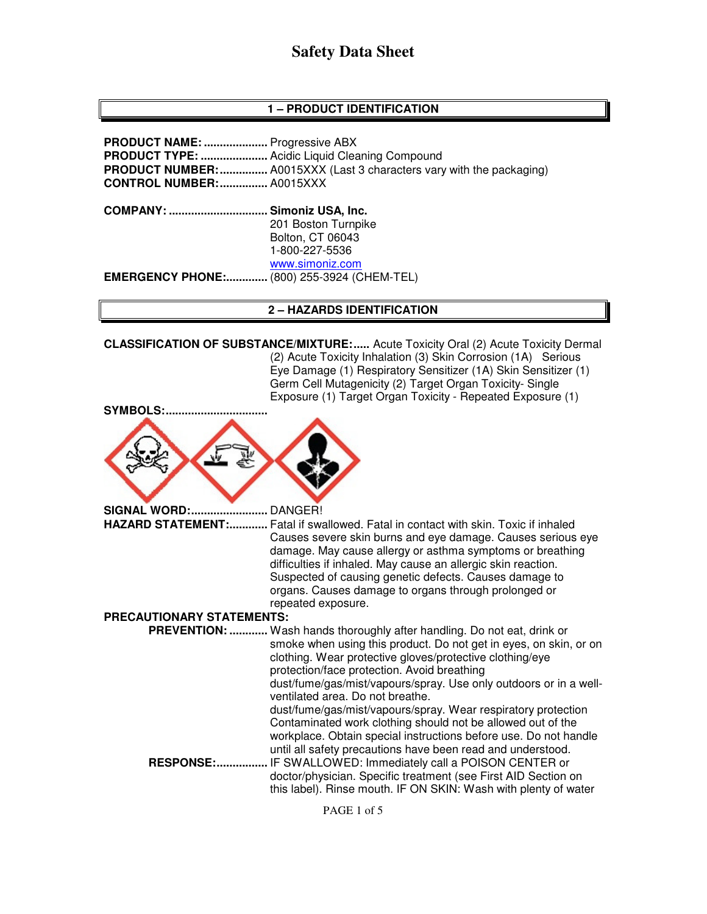# **Safety Data Sheet**

#### **1 – PRODUCT IDENTIFICATION**

**PRODUCT NAME: ....................** Progressive ABX **PRODUCT TYPE: .....................** Acidic Liquid Cleaning Compound **PRODUCT NUMBER: ...............** A0015XXX (Last 3 characters vary with the packaging) **CONTROL NUMBER: ...............** A0015XXX **COMPANY: ............................... Simoniz USA, Inc.** 201 Boston Turnpike Bolton, CT 06043 1-800-227-5536 www.simoniz.com **EMERGENCY PHONE:.............** (800) 255-3924 (CHEM-TEL)

#### **2 – HAZARDS IDENTIFICATION**

**CLASSIFICATION OF SUBSTANCE/MIXTURE: .....** Acute Toxicity Oral (2) Acute Toxicity Dermal (2) Acute Toxicity Inhalation (3) Skin Corrosion (1A) Serious Eye Damage (1) Respiratory Sensitizer (1A) Skin Sensitizer (1) Germ Cell Mutagenicity (2) Target Organ Toxicity- Single Exposure (1) Target Organ Toxicity - Repeated Exposure (1) SYMBOLS:..

**SIGNAL WORD: ........................** DANGER! **HAZARD STATEMENT: ............** Fatal if swallowed. Fatal in contact with skin. Toxic if inhaled Causes severe skin burns and eye damage. Causes serious eye damage. May cause allergy or asthma symptoms or breathing difficulties if inhaled. May cause an allergic skin reaction. Suspected of causing genetic defects. Causes damage to organs. Causes damage to organs through prolonged or repeated exposure.

#### **PRECAUTIONARY STATEMENTS:**

 **PREVENTION: ............** Wash hands thoroughly after handling. Do not eat, drink or smoke when using this product. Do not get in eyes, on skin, or on clothing. Wear protective gloves/protective clothing/eye protection/face protection. Avoid breathing dust/fume/gas/mist/vapours/spray. Use only outdoors or in a wellventilated area. Do not breathe. dust/fume/gas/mist/vapours/spray. Wear respiratory protection Contaminated work clothing should not be allowed out of the workplace. Obtain special instructions before use. Do not handle until all safety precautions have been read and understood.

 **RESPONSE: ................** IF SWALLOWED: Immediately call a POISON CENTER or doctor/physician. Specific treatment (see First AID Section on this label). Rinse mouth. IF ON SKIN: Wash with plenty of water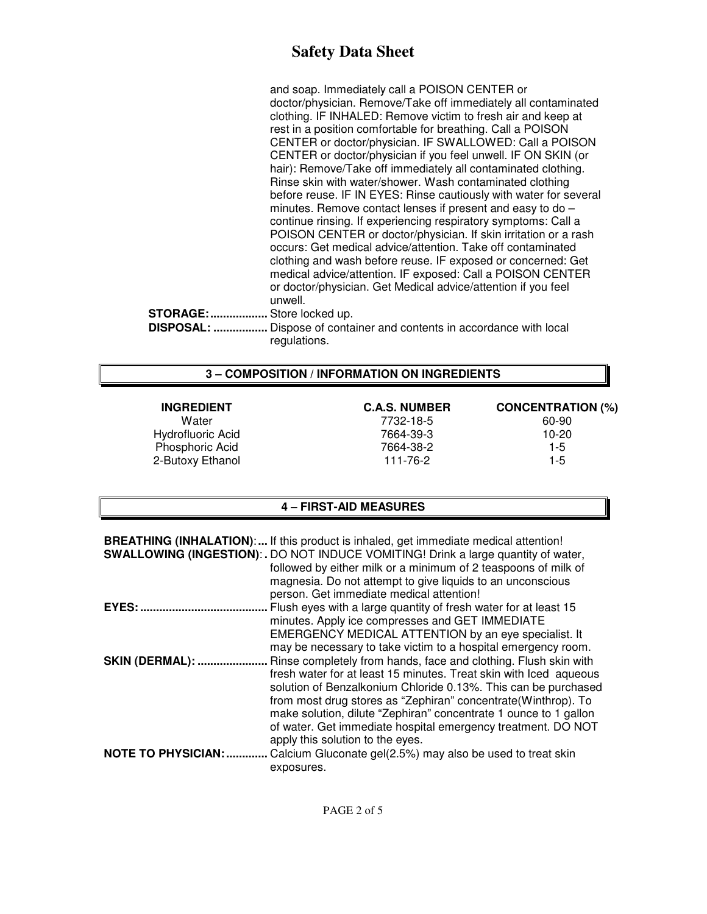# **Safety Data Sheet**

and soap. Immediately call a POISON CENTER or doctor/physician. Remove/Take off immediately all contaminated clothing. IF INHALED: Remove victim to fresh air and keep at rest in a position comfortable for breathing. Call a POISON CENTER or doctor/physician. IF SWALLOWED: Call a POISON CENTER or doctor/physician if you feel unwell. IF ON SKIN (or hair): Remove/Take off immediately all contaminated clothing. Rinse skin with water/shower. Wash contaminated clothing before reuse. IF IN EYES: Rinse cautiously with water for several minutes. Remove contact lenses if present and easy to do – continue rinsing. If experiencing respiratory symptoms: Call a POISON CENTER or doctor/physician. If skin irritation or a rash occurs: Get medical advice/attention. Take off contaminated clothing and wash before reuse. IF exposed or concerned: Get medical advice/attention. IF exposed: Call a POISON CENTER or doctor/physician. Get Medical advice/attention if you feel unwell. **STORAGE: ..................** Store locked up.  **DISPOSAL: .................** Dispose of container and contents in accordance with local

#### **3 – COMPOSITION / INFORMATION ON INGREDIENTS**

regulations.

Hydrofluoric Acid Phosphoric Acid 1-5

# Water 7732-18-5 60-90 2-Butoxy Ethanol 111-76-2 111-76-2 1-5

**INGREDIENT C.A.S. NUMBER CONCENTRATION (%)** 

#### **4 – FIRST-AID MEASURES**

|                            | <b>BREATHING (INHALATION):</b> If this product is inhaled, get immediate medical attention!<br><b>SWALLOWING (INGESTION):.</b> DO NOT INDUCE VOMITING! Drink a large quantity of water,<br>followed by either milk or a minimum of 2 teaspoons of milk of<br>magnesia. Do not attempt to give liquids to an unconscious<br>person. Get immediate medical attention! |
|----------------------------|---------------------------------------------------------------------------------------------------------------------------------------------------------------------------------------------------------------------------------------------------------------------------------------------------------------------------------------------------------------------|
| <b>EYES: </b>              | Flush eyes with a large quantity of fresh water for at least 15                                                                                                                                                                                                                                                                                                     |
|                            | minutes. Apply ice compresses and GET IMMEDIATE                                                                                                                                                                                                                                                                                                                     |
|                            | EMERGENCY MEDICAL ATTENTION by an eye specialist. It                                                                                                                                                                                                                                                                                                                |
|                            | may be necessary to take victim to a hospital emergency room.                                                                                                                                                                                                                                                                                                       |
| SKIN (DERMAL):             | Rinse completely from hands, face and clothing. Flush skin with                                                                                                                                                                                                                                                                                                     |
|                            | fresh water for at least 15 minutes. Treat skin with lced aqueous                                                                                                                                                                                                                                                                                                   |
|                            | solution of Benzalkonium Chloride 0.13%. This can be purchased                                                                                                                                                                                                                                                                                                      |
|                            | from most drug stores as "Zephiran" concentrate (Winthrop). To<br>make solution, dilute "Zephiran" concentrate 1 ounce to 1 gallon<br>of water. Get immediate hospital emergency treatment. DO NOT<br>apply this solution to the eyes.                                                                                                                              |
| <b>NOTE TO PHYSICIAN: </b> | Calcium Gluconate gel(2.5%) may also be used to treat skin                                                                                                                                                                                                                                                                                                          |
|                            | exposures.                                                                                                                                                                                                                                                                                                                                                          |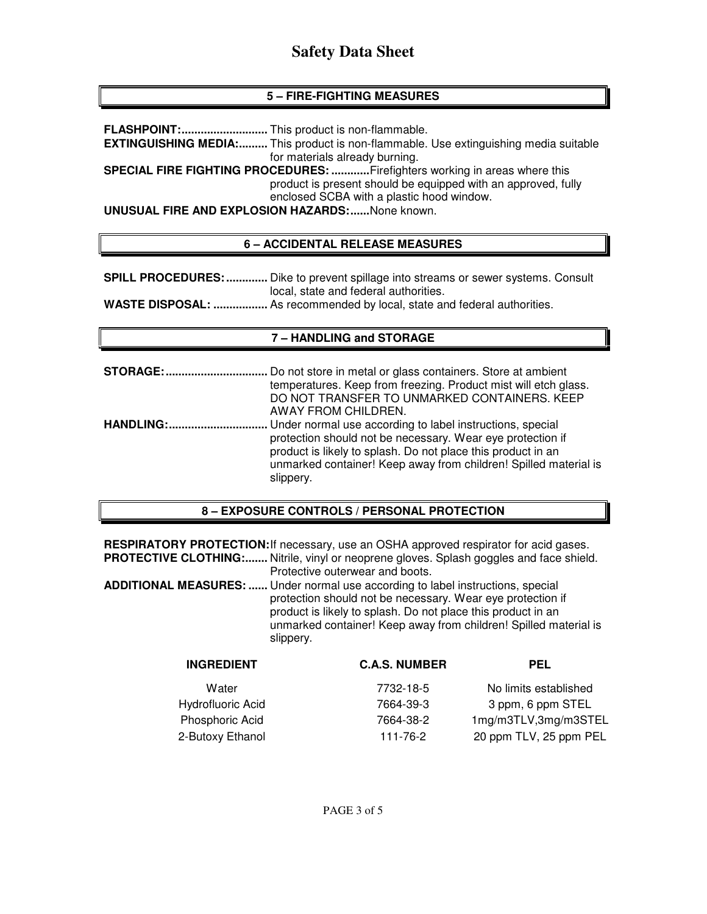# **5 – FIRE-FIGHTING MEASURES**

**FLASHPOINT: ...........................** This product is non-flammable.

**EXTINGUISHING MEDIA:.........** This product is non-flammable. Use extinguishing media suitable for materials already burning.

**SPECIAL FIRE FIGHTING PROCEDURES: ............** Firefighters working in areas where this product is present should be equipped with an approved, fully enclosed SCBA with a plastic hood window.

**UNUSUAL FIRE AND EXPLOSION HAZARDS: ......** None known.

### **6 – ACCIDENTAL RELEASE MEASURES**

**SPILL PROCEDURES: .............** Dike to prevent spillage into streams or sewer systems. Consult local, state and federal authorities.

**WASTE DISPOSAL: .................** As recommended by local, state and federal authorities.

#### **7 – HANDLING and STORAGE**

**STORAGE: ................................** Do not store in metal or glass containers. Store at ambient temperatures. Keep from freezing. Product mist will etch glass. DO NOT TRANSFER TO UNMARKED CONTAINERS. KEEP AWAY FROM CHILDREN. **HANDLING: ...............................** Under normal use according to label instructions, special protection should not be necessary. Wear eye protection if product is likely to splash. Do not place this product in an unmarked container! Keep away from children! Spilled material is slippery.

#### **8 – EXPOSURE CONTROLS / PERSONAL PROTECTION**

**RESPIRATORY PROTECTION:** If necessary, use an OSHA approved respirator for acid gases. PROTECTIVE CLOTHING:....... Nitrile, vinyl or neoprene gloves. Splash goggles and face shield. Protective outerwear and boots.

**ADDITIONAL MEASURES: ......** Under normal use according to label instructions, special protection should not be necessary. Wear eye protection if product is likely to splash. Do not place this product in an unmarked container! Keep away from children! Spilled material is slippery.

| <b>INGREDIENT</b> | <b>C.A.S. NUMBER</b> | <b>PEL</b>             |
|-------------------|----------------------|------------------------|
| Water             | 7732-18-5            | No limits established  |
| Hydrofluoric Acid | 7664-39-3            | 3 ppm, 6 ppm STEL      |
| Phosphoric Acid   | 7664-38-2            | 1mg/m3TLV,3mg/m3STEL   |
| 2-Butoxy Ethanol  | 111-76-2             | 20 ppm TLV, 25 ppm PEL |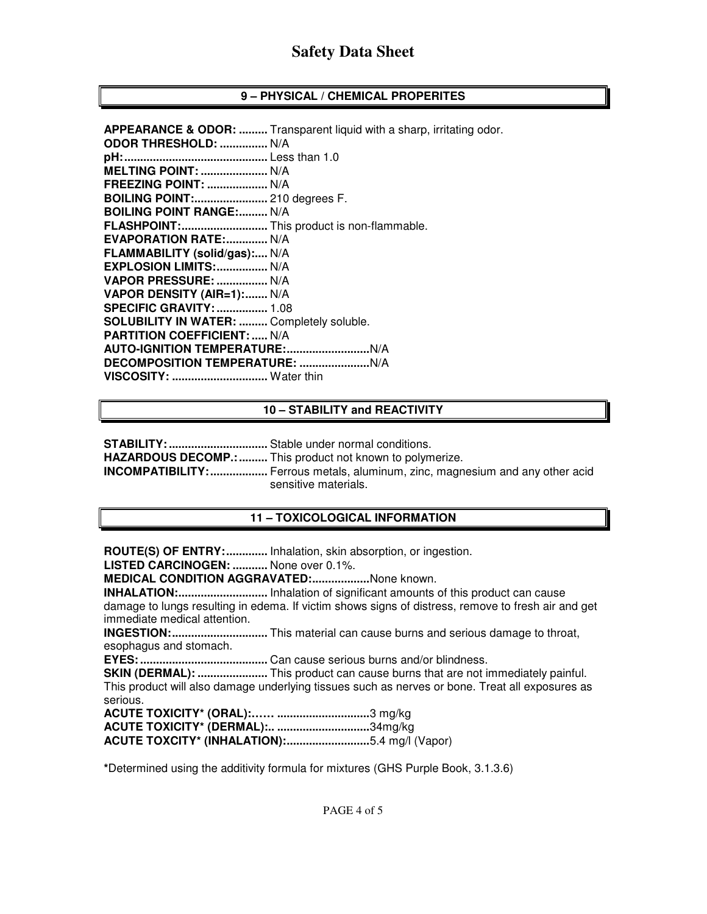### **9 – PHYSICAL / CHEMICAL PROPERITES**

#### **10 – STABILITY and REACTIVITY**

**STABILITY: ...............................** Stable under normal conditions.

**HAZARDOUS DECOMP.: .........** This product not known to polymerize.

**INCOMPATIBILITY: ..................** Ferrous metals, aluminum, zinc, magnesium and any other acid sensitive materials.

#### **11 – TOXICOLOGICAL INFORMATION**

**ROUTE(S) OF ENTRY: .............** Inhalation, skin absorption, or ingestion.

**LISTED CARCINOGEN: ...........** None over 0.1%.

**MEDICAL CONDITION AGGRAVATED: ..................** None known.

**INHALATION: ............................** Inhalation of significant amounts of this product can cause damage to lungs resulting in edema. If victim shows signs of distress, remove to fresh air and get immediate medical attention.

**INGESTION: ..............................** This material can cause burns and serious damage to throat, esophagus and stomach.

**EYES: ........................................** Can cause serious burns and/or blindness.

**SKIN (DERMAL): ......................** This product can cause burns that are not immediately painful. This product will also damage underlying tissues such as nerves or bone. Treat all exposures as serious.

**ACUTE TOXICITY\* (ORAL):…… .............................** 3 mg/kg **ACUTE TOXICITY\* (DERMAL):.. .............................** 34mg/kg **ACUTE TOXCITY\* (INHALATION): ..........................** 5.4 mg/l (Vapor)

**\***Determined using the additivity formula for mixtures (GHS Purple Book, 3.1.3.6)